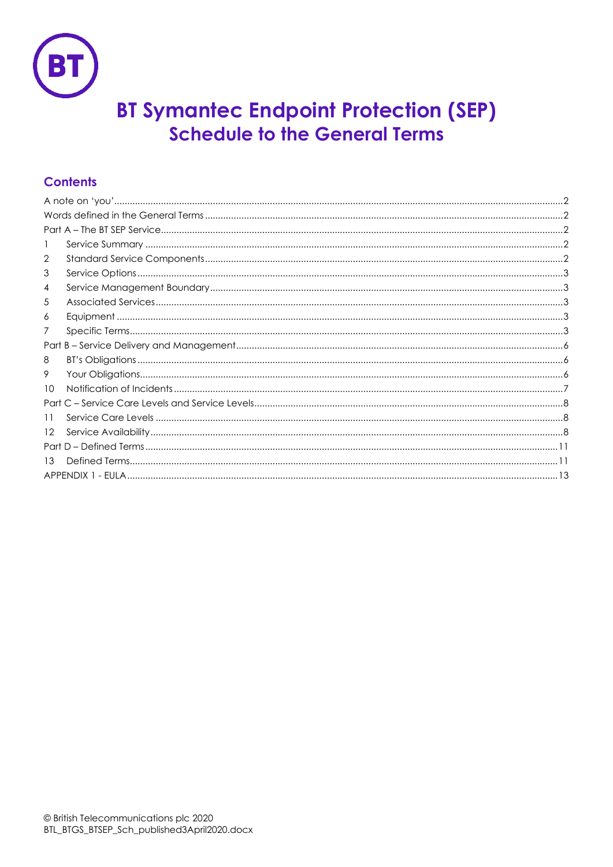

# **BT Symantec Endpoint Protection (SEP) Schedule to the General Terms**

# **Contents**

| 2       |  |  |
|---------|--|--|
| 3       |  |  |
| 4       |  |  |
| 5       |  |  |
| 6       |  |  |
| 7       |  |  |
|         |  |  |
| 8       |  |  |
| 9       |  |  |
| 10      |  |  |
|         |  |  |
| 11      |  |  |
| $12 \,$ |  |  |
|         |  |  |
| 13      |  |  |
|         |  |  |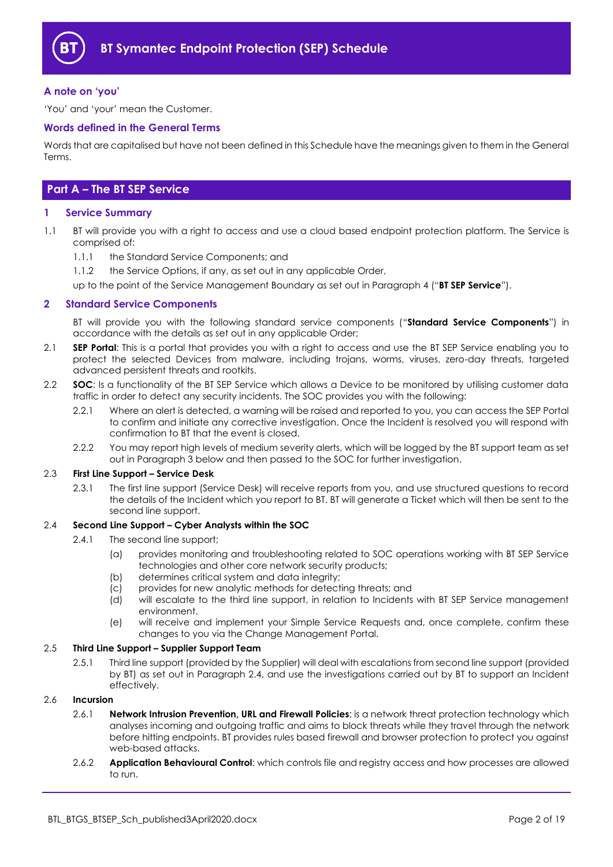

#### <span id="page-1-0"></span>**A note on 'you'**

'You' and 'your' mean the Customer.

#### <span id="page-1-1"></span>**Words defined in the General Terms**

Words that are capitalised but have not been defined in this Schedule have the meanings given to them in the General Terms.

# <span id="page-1-2"></span>**Part A – The BT SEP Service**

#### <span id="page-1-3"></span>**1 Service Summary**

- 1.1 BT will provide you with a right to access and use a cloud based endpoint protection platform. The Service is comprised of:
	- 1.1.1 the Standard Service Components; and
	- 1.1.2 the Service Options, if any, as set out in any applicable Order,

up to the point of the Service Management Boundary as set out in Paragraph [4](#page-2-1) ("**BT SEP Service**").

#### <span id="page-1-4"></span>**2 Standard Service Components**

BT will provide you with the following standard service components ("**Standard Service Components**") in accordance with the details as set out in any applicable Order;

- <span id="page-1-6"></span>2.1 **SEP Portal**: This is a portal that provides you with a right to access and use the BT SEP Service enabling you to protect the selected Devices from malware, including trojans, worms, viruses, zero-day threats, targeted advanced persistent threats and rootkits.
- 2.2 **SOC**: Is a functionality of the BT SEP Service which allows a Device to be monitored by utilising customer data traffic in order to detect any security incidents. The SOC provides you with the following:
	- 2.2.1 Where an alert is detected, a warning will be raised and reported to you, you can access the SEP Portal to confirm and initiate any corrective investigation. Once the Incident is resolved you will respond with confirmation to BT that the event is closed.
	- 2.2.2 You may report high levels of medium severity alerts, which will be logged by the BT support team as set out in Paragrap[h 3](#page-2-0) below and then passed to the SOC for further investigation.

#### 2.3 **First Line Support – Service Desk**

2.3.1 The first line support (Service Desk) will receive reports from you, and use structured questions to record the details of the Incident which you report to BT. BT will generate a Ticket which will then be sent to the second line support.

#### <span id="page-1-5"></span>2.4 **Second Line Support – Cyber Analysts within the SOC**

- 2.4.1 The second line support;
	- (a) provides monitoring and troubleshooting related to SOC operations working with BT SEP Service technologies and other core network security products;
	- (b) determines critical system and data integrity;
	- (c) provides for new analytic methods for detecting threats; and
	- (d) will escalate to the third line support, in relation to Incidents with BT SEP Service management environment.
	- (e) will receive and implement your Simple Service Requests and, once complete, confirm these changes to you via the Change Management Portal.

## 2.5 **Third Line Support – Supplier Support Team**

2.5.1 Third line support (provided by the Supplier) will deal with escalations from second line support (provided by BT) as set out in Paragraph [2.4,](#page-1-5) and use the investigations carried out by BT to support an Incident effectively.

#### 2.6 **Incursion**

- 2.6.1 **Network Intrusion Prevention, URL and Firewall Policies**: is a network threat protection technology which analyses incoming and outgoing traffic and aims to block threats while they travel through the network before hitting endpoints. BT provides rules based firewall and browser protection to protect you against web-based attacks.
- 2.6.2 **Application Behavioural Control**: which controls file and registry access and how processes are allowed to run.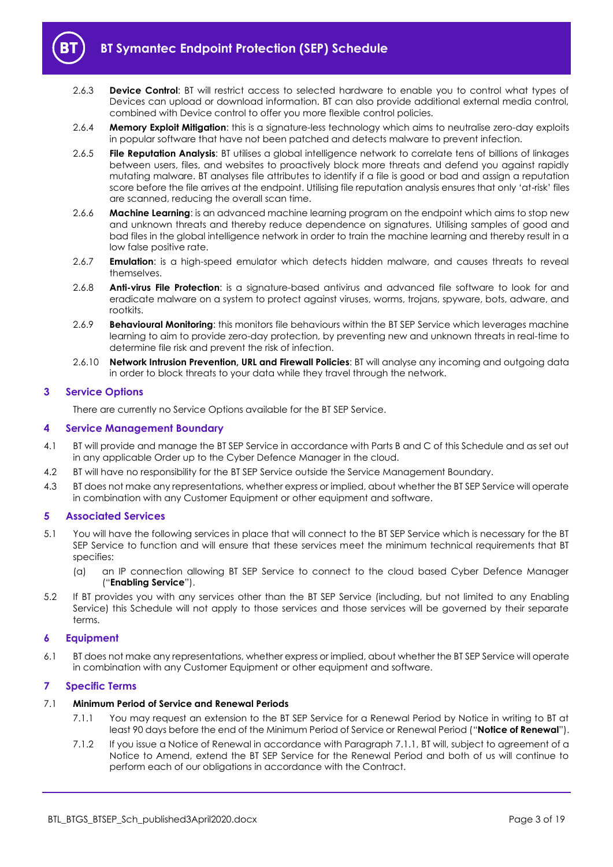

- 2.6.3 **Device Control**: BT will restrict access to selected hardware to enable you to control what types of Devices can upload or download information. BT can also provide additional external media control, combined with Device control to offer you more flexible control policies.
- 2.6.4 **Memory Exploit Mitigation**: this is a signature-less technology which aims to neutralise zero-day exploits in popular software that have not been patched and detects malware to prevent infection.
- 2.6.5 **File Reputation Analysis**: BT utilises a global intelligence network to correlate tens of billions of linkages between users, files, and websites to proactively block more threats and defend you against rapidly mutating malware. BT analyses file attributes to identify if a file is good or bad and assign a reputation score before the file arrives at the endpoint. Utilising file reputation analysis ensures that only 'at-risk' files are scanned, reducing the overall scan time.
- 2.6.6 **Machine Learning**: is an advanced machine learning program on the endpoint which aims to stop new and unknown threats and thereby reduce dependence on signatures. Utilising samples of good and bad files in the global intelligence network in order to train the machine learning and thereby result in a low false positive rate.
- 2.6.7 **Emulation**: is a high-speed emulator which detects hidden malware, and causes threats to reveal themselves.
- 2.6.8 **Anti-virus File Protection**: is a signature-based antivirus and advanced file software to look for and eradicate malware on a system to protect against viruses, worms, trojans, spyware, bots, adware, and rootkits.
- 2.6.9 **Behavioural Monitoring**: this monitors file behaviours within the BT SEP Service which leverages machine learning to aim to provide zero-day protection, by preventing new and unknown threats in real-time to determine file risk and prevent the risk of infection.
- 2.6.10 **Network Intrusion Prevention, URL and Firewall Policies**: BT will analyse any incoming and outgoing data in order to block threats to your data while they travel through the network.

## <span id="page-2-0"></span>**3 Service Options**

There are currently no Service Options available for the BT SEP Service.

#### <span id="page-2-1"></span>**4 Service Management Boundary**

- <span id="page-2-7"></span>4.1 BT will provide and manage the BT SEP Service in accordance with Parts B and C of this Schedule and as set out in any applicable Order up to the Cyber Defence Manager in the cloud.
- 4.2 BT will have no responsibility for the BT SEP Service outside the Service Management Boundary.
- 4.3 BT does not make any representations, whether express or implied, about whether the BT SEP Service will operate in combination with any Customer Equipment or other equipment and software.

# <span id="page-2-2"></span>**5 Associated Services**

- <span id="page-2-6"></span>5.1 You will have the following services in place that will connect to the BT SEP Service which is necessary for the BT SEP Service to function and will ensure that these services meet the minimum technical requirements that BT specifies:
	- (a) an IP connection allowing BT SEP Service to connect to the cloud based Cyber Defence Manager ("**Enabling Service**").
- 5.2 If BT provides you with any services other than the BT SEP Service (including, but not limited to any Enabling Service) this Schedule will not apply to those services and those services will be governed by their separate terms.

#### <span id="page-2-3"></span>**6 Equipment**

6.1 BT does not make any representations, whether express or implied, about whether the BT SEP Service will operate in combination with any Customer Equipment or other equipment and software.

#### <span id="page-2-4"></span>**7 Specific Terms**

# <span id="page-2-5"></span>7.1 **Minimum Period of Service and Renewal Periods**

- 7.1.1 You may request an extension to the BT SEP Service for a Renewal Period by Notice in writing to BT at least 90 days before the end of the Minimum Period of Service or Renewal Period ("**Notice of Renewal**").
- 7.1.2 If you issue a Notice of Renewal in accordance with Paragraph [7.1.1,](#page-2-5) BT will, subject to agreement of a Notice to Amend, extend the BT SEP Service for the Renewal Period and both of us will continue to perform each of our obligations in accordance with the Contract.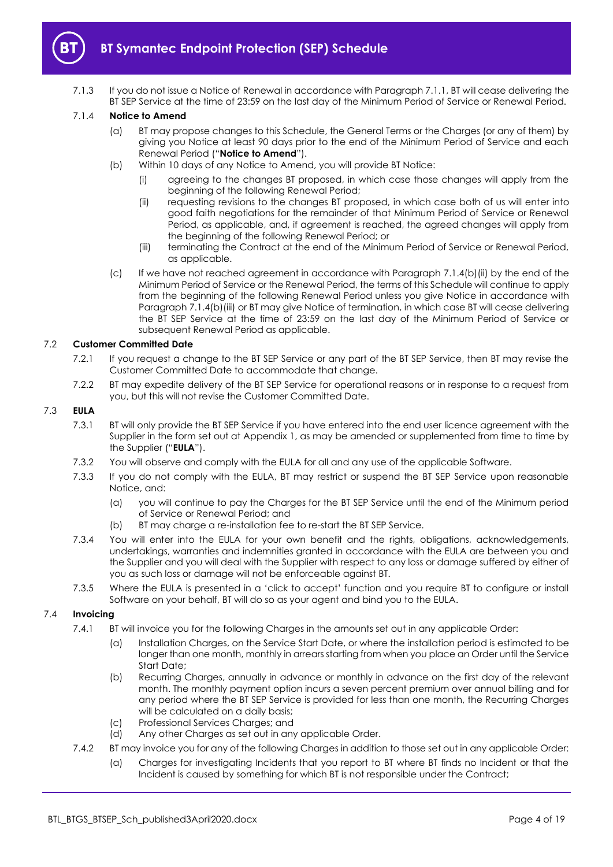

7.1.3 If you do not issue a Notice of Renewal in accordance with Paragrap[h 7.1.1,](#page-2-5) BT will cease delivering the BT SEP Service at the time of 23:59 on the last day of the Minimum Period of Service or Renewal Period.

### <span id="page-3-3"></span>7.1.4 **Notice to Amend**

- (a) BT may propose changes to this Schedule, the General Terms or the Charges (or any of them) by giving you Notice at least 90 days prior to the end of the Minimum Period of Service and each Renewal Period ("**Notice to Amend**").
- <span id="page-3-0"></span>(b) Within 10 days of any Notice to Amend, you will provide BT Notice:
	- (i) agreeing to the changes BT proposed, in which case those changes will apply from the beginning of the following Renewal Period;
	- (ii) requesting revisions to the changes BT proposed, in which case both of us will enter into good faith negotiations for the remainder of that Minimum Period of Service or Renewal Period, as applicable, and, if agreement is reached, the agreed changes will apply from the beginning of the following Renewal Period; or
	- (iii) terminating the Contract at the end of the Minimum Period of Service or Renewal Period, as applicable.
- <span id="page-3-1"></span>(c) If we have not reached agreement in accordance with Paragraph [7.1.4\(b\)\(ii\)](#page-3-0) by the end of the Minimum Period of Service or the Renewal Period, the terms of this Schedule will continue to apply from the beginning of the following Renewal Period unless you give Notice in accordance with Paragraph [7.1.4\(b\)\(iii\)](#page-3-1) or BT may give Notice of termination, in which case BT will cease delivering the BT SEP Service at the time of 23:59 on the last day of the Minimum Period of Service or subsequent Renewal Period as applicable.

#### 7.2 **Customer Committed Date**

- 7.2.1 If you request a change to the BT SEP Service or any part of the BT SEP Service, then BT may revise the Customer Committed Date to accommodate that change.
- 7.2.2 BT may expedite delivery of the BT SEP Service for operational reasons or in response to a request from you, but this will not revise the Customer Committed Date.

## <span id="page-3-2"></span>7.3 **EULA**

- 7.3.1 BT will only provide the BT SEP Service if you have entered into the end user licence agreement with the Supplier in the form set out at Appendix 1, as may be amended or supplemented from time to time by the Supplier ("**EULA**").
- 7.3.2 You will observe and comply with the EULA for all and any use of the applicable Software.
- 7.3.3 If you do not comply with the EULA, BT may restrict or suspend the BT SEP Service upon reasonable Notice, and:
	- (a) you will continue to pay the Charges for the BT SEP Service until the end of the Minimum period of Service or Renewal Period; and
	- (b) BT may charge a re-installation fee to re-start the BT SEP Service.
- 7.3.4 You will enter into the EULA for your own benefit and the rights, obligations, acknowledgements, undertakings, warranties and indemnities granted in accordance with the EULA are between you and the Supplier and you will deal with the Supplier with respect to any loss or damage suffered by either of you as such loss or damage will not be enforceable against BT.
- 7.3.5 Where the EULA is presented in a 'click to accept' function and you require BT to configure or install Software on your behalf, BT will do so as your agent and bind you to the EULA.

# 7.4 **Invoicing**

- 7.4.1 BT will invoice you for the following Charges in the amounts set out in any applicable Order:
	- (a) Installation Charges, on the Service Start Date, or where the installation period is estimated to be longer than one month, monthly in arrears starting from when you place an Order until the Service Start Date;
	- (b) Recurring Charges, annually in advance or monthly in advance on the first day of the relevant month. The monthly payment option incurs a seven percent premium over annual billing and for any period where the BT SEP Service is provided for less than one month, the Recurring Charges will be calculated on a daily basis;
	- (c) Professional Services Charges; and
	- (d) Any other Charges as set out in any applicable Order.
- 7.4.2 BT may invoice you for any of the following Charges in addition to those set out in any applicable Order:
	- (a) Charges for investigating Incidents that you report to BT where BT finds no Incident or that the Incident is caused by something for which BT is not responsible under the Contract;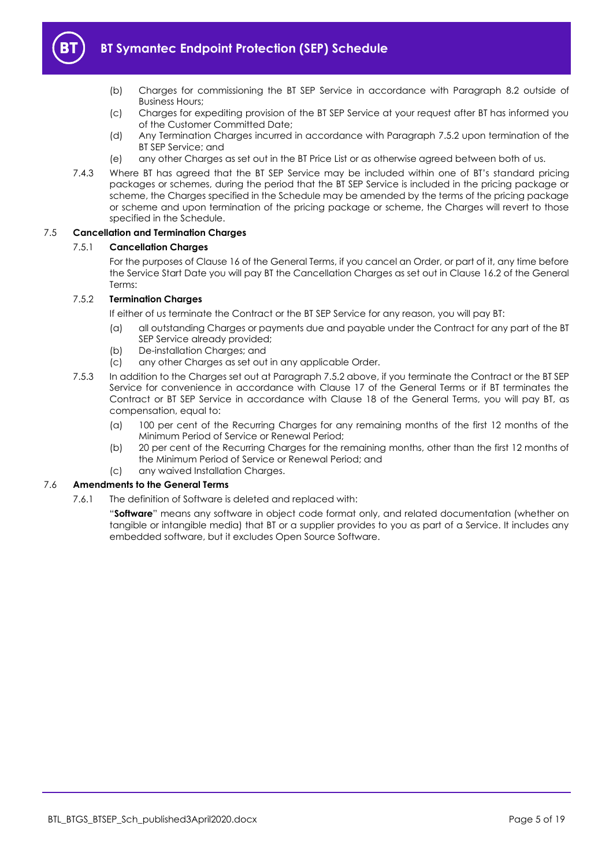

- 
- (b) Charges for commissioning the BT SEP Service in accordance with Paragraph [8.2](#page-5-3) outside of Business Hours;
- (c) Charges for expediting provision of the BT SEP Service at your request after BT has informed you of the Customer Committed Date;
- (d) Any Termination Charges incurred in accordance with Paragraph [7.5.2](#page-4-0) upon termination of the BT SEP Service; and
- (e) any other Charges as set out in the BT Price List or as otherwise agreed between both of us.
- 7.4.3 Where BT has agreed that the BT SEP Service may be included within one of BT's standard pricing packages or schemes, during the period that the BT SEP Service is included in the pricing package or scheme, the Charges specified in the Schedule may be amended by the terms of the pricing package or scheme and upon termination of the pricing package or scheme, the Charges will revert to those specified in the Schedule.

## 7.5 **Cancellation and Termination Charges**

#### 7.5.1 **Cancellation Charges**

For the purposes of Clause 16 of the General Terms, if you cancel an Order, or part of it, any time before the Service Start Date you will pay BT the Cancellation Charges as set out in Clause 16.2 of the General Terms:

# <span id="page-4-0"></span>7.5.2 **Termination Charges**

If either of us terminate the Contract or the BT SEP Service for any reason, you will pay BT:

- (a) all outstanding Charges or payments due and payable under the Contract for any part of the BT SEP Service already provided;
- (b) De-installation Charges; and
- (c) any other Charges as set out in any applicable Order.
- 7.5.3 In addition to the Charges set out at Paragrap[h 7.5.2](#page-4-0) above, if you terminate the Contract or the BT SEP Service for convenience in accordance with Clause 17 of the General Terms or if BT terminates the Contract or BT SEP Service in accordance with Clause 18 of the General Terms, you will pay BT, as compensation, equal to:
	- (a) 100 per cent of the Recurring Charges for any remaining months of the first 12 months of the Minimum Period of Service or Renewal Period;
	- (b) 20 per cent of the Recurring Charges for the remaining months, other than the first 12 months of the Minimum Period of Service or Renewal Period; and
	- (c) any waived Installation Charges.

#### 7.6 **Amendments to the General Terms**

7.6.1 The definition of Software is deleted and replaced with:

"**Software**" means any software in object code format only, and related documentation (whether on tangible or intangible media) that BT or a supplier provides to you as part of a Service. It includes any embedded software, but it excludes Open Source Software.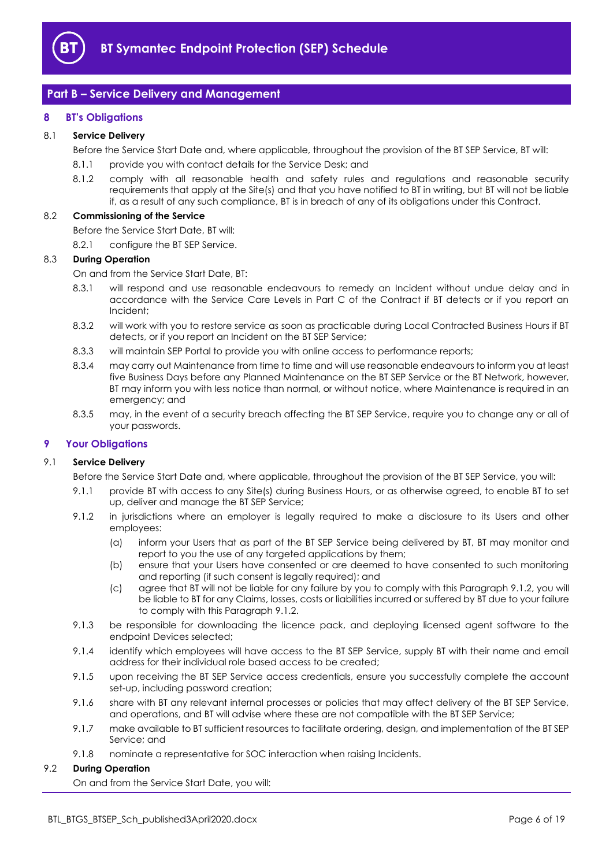

# <span id="page-5-0"></span>**Part B – Service Delivery and Management**

### <span id="page-5-1"></span>**8 BT's Obligations**

#### 8.1 **Service Delivery**

Before the Service Start Date and, where applicable, throughout the provision of the BT SEP Service, BT will:

- 8.1.1 provide you with contact details for the Service Desk; and
- 8.1.2 comply with all reasonable health and safety rules and regulations and reasonable security requirements that apply at the Site(s) and that you have notified to BT in writing, but BT will not be liable if, as a result of any such compliance, BT is in breach of any of its obligations under this Contract.

#### <span id="page-5-3"></span>8.2 **Commissioning of the Service**

Before the Service Start Date, BT will:

8.2.1 configure the BT SEP Service.

#### 8.3 **During Operation**

On and from the Service Start Date, BT:

- 8.3.1 will respond and use reasonable endeavours to remedy an Incident without undue delay and in accordance with the Service Care Levels in Part C of the Contract if BT detects or if you report an Incident;
- 8.3.2 will work with you to restore service as soon as practicable during Local Contracted Business Hours if BT detects, or if you report an Incident on the BT SEP Service;
- 8.3.3 will maintain SEP Portal to provide you with online access to performance reports;
- 8.3.4 may carry out Maintenance from time to time and will use reasonable endeavours to inform you at least five Business Days before any Planned Maintenance on the BT SEP Service or the BT Network, however, BT may inform you with less notice than normal, or without notice, where Maintenance is required in an emergency; and
- 8.3.5 may, in the event of a security breach affecting the BT SEP Service, require you to change any or all of your passwords.

#### <span id="page-5-2"></span>**9 Your Obligations**

#### 9.1 **Service Delivery**

Before the Service Start Date and, where applicable, throughout the provision of the BT SEP Service, you will:

- 9.1.1 provide BT with access to any Site(s) during Business Hours, or as otherwise agreed, to enable BT to set up, deliver and manage the BT SEP Service;
- <span id="page-5-4"></span>9.1.2 in jurisdictions where an employer is legally required to make a disclosure to its Users and other employees:
	- (a) inform your Users that as part of the BT SEP Service being delivered by BT, BT may monitor and report to you the use of any targeted applications by them;
	- (b) ensure that your Users have consented or are deemed to have consented to such monitoring and reporting (if such consent is legally required); and
	- (c) agree that BT will not be liable for any failure by you to comply with this Paragraph [9.1.2,](#page-5-4) you will be liable to BT for any Claims, losses, costs or liabilities incurred or suffered by BT due to your failure to comply with this Paragrap[h 9.1.2.](#page-5-4)
- 9.1.3 be responsible for downloading the licence pack, and deploying licensed agent software to the endpoint Devices selected;
- 9.1.4 identify which employees will have access to the BT SEP Service, supply BT with their name and email address for their individual role based access to be created;
- 9.1.5 upon receiving the BT SEP Service access credentials, ensure you successfully complete the account set-up, including password creation;
- 9.1.6 share with BT any relevant internal processes or policies that may affect delivery of the BT SEP Service, and operations, and BT will advise where these are not compatible with the BT SEP Service;
- 9.1.7 make available to BT sufficient resources to facilitate ordering, design, and implementation of the BT SEP Service; and
- 9.1.8 nominate a representative for SOC interaction when raising Incidents.

#### 9.2 **During Operation**

On and from the Service Start Date, you will: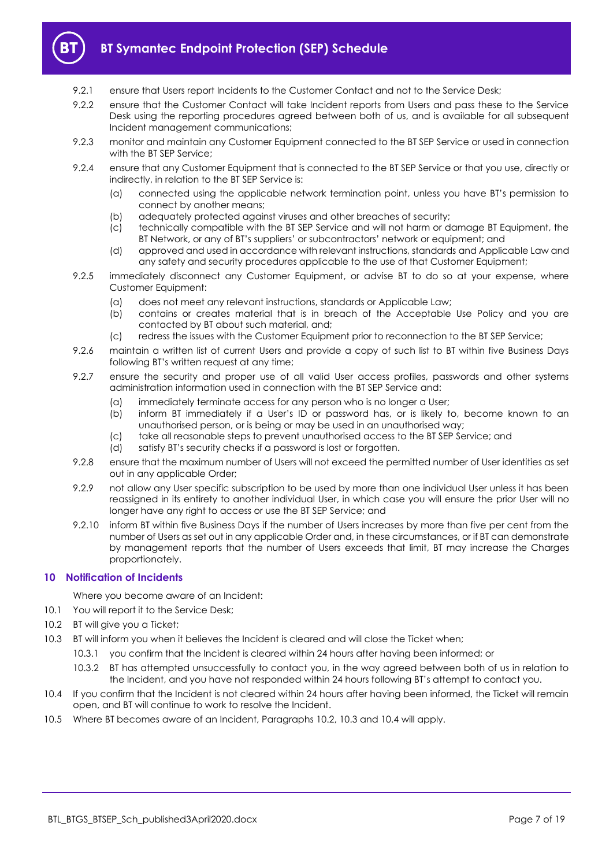

- 9.2.1 ensure that Users report Incidents to the Customer Contact and not to the Service Desk;
- 9.2.2 ensure that the Customer Contact will take Incident reports from Users and pass these to the Service Desk using the reporting procedures agreed between both of us, and is available for all subsequent Incident management communications;
- 9.2.3 monitor and maintain any Customer Equipment connected to the BT SEP Service or used in connection with the BT SEP Service;
- 9.2.4 ensure that any Customer Equipment that is connected to the BT SEP Service or that you use, directly or indirectly, in relation to the BT SEP Service is:
	- (a) connected using the applicable network termination point, unless you have BT's permission to connect by another means;
	- (b) adequately protected against viruses and other breaches of security;
	- (c) technically compatible with the BT SEP Service and will not harm or damage BT Equipment, the BT Network, or any of BT's suppliers' or subcontractors' network or equipment; and
	- (d) approved and used in accordance with relevant instructions, standards and Applicable Law and any safety and security procedures applicable to the use of that Customer Equipment;
- 9.2.5 immediately disconnect any Customer Equipment, or advise BT to do so at your expense, where Customer Equipment:
	- (a) does not meet any relevant instructions, standards or Applicable Law;
	- (b) contains or creates material that is in breach of the Acceptable Use Policy and you are contacted by BT about such material, and;
	- (c) redress the issues with the Customer Equipment prior to reconnection to the BT SEP Service;
- 9.2.6 maintain a written list of current Users and provide a copy of such list to BT within five Business Days following BT's written request at any time;
- 9.2.7 ensure the security and proper use of all valid User access profiles, passwords and other systems administration information used in connection with the BT SEP Service and:
	- (a) immediately terminate access for any person who is no longer a User;
	- (b) inform BT immediately if a User's ID or password has, or is likely to, become known to an unauthorised person, or is being or may be used in an unauthorised way;
	- (c) take all reasonable steps to prevent unauthorised access to the BT SEP Service; and
	- (d) satisfy BT's security checks if a password is lost or forgotten.
- 9.2.8 ensure that the maximum number of Users will not exceed the permitted number of User identities as set out in any applicable Order;
- 9.2.9 not allow any User specific subscription to be used by more than one individual User unless it has been reassigned in its entirety to another individual User, in which case you will ensure the prior User will no longer have any right to access or use the BT SEP Service; and
- 9.2.10 inform BT within five Business Days if the number of Users increases by more than five per cent from the number of Users as set out in any applicable Order and, in these circumstances, or if BT can demonstrate by management reports that the number of Users exceeds that limit, BT may increase the Charges proportionately.

#### <span id="page-6-0"></span>**10 Notification of Incidents**

Where you become aware of an Incident:

- 10.1 You will report it to the Service Desk;
- <span id="page-6-1"></span>10.2 BT will give you a Ticket:
- <span id="page-6-2"></span>10.3 BT will inform you when it believes the Incident is cleared and will close the Ticket when;
	- 10.3.1 you confirm that the Incident is cleared within 24 hours after having been informed; or
	- 10.3.2 BT has attempted unsuccessfully to contact you, in the way agreed between both of us in relation to the Incident, and you have not responded within 24 hours following BT's attempt to contact you.
- <span id="page-6-3"></span>10.4 If you confirm that the Incident is not cleared within 24 hours after having been informed, the Ticket will remain open, and BT will continue to work to resolve the Incident.
- 10.5 Where BT becomes aware of an Incident, Paragraphs [10.2,](#page-6-1) [10.3](#page-6-2) and [10.4](#page-6-3) will apply.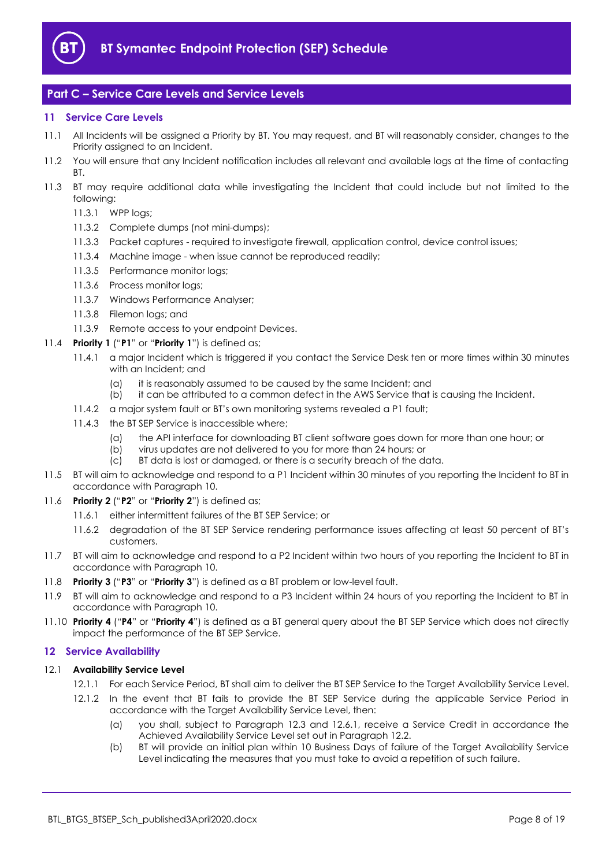

# <span id="page-7-0"></span>**Part C – Service Care Levels and Service Levels**

## <span id="page-7-1"></span>**11 Service Care Levels**

- 11.1 All Incidents will be assigned a Priority by BT. You may request, and BT will reasonably consider, changes to the Priority assigned to an Incident.
- 11.2 You will ensure that any Incident notification includes all relevant and available logs at the time of contacting BT.
- 11.3 BT may require additional data while investigating the Incident that could include but not limited to the following:
	- 11.3.1 WPP logs;
	- 11.3.2 Complete dumps (not mini-dumps);
	- 11.3.3 Packet captures required to investigate firewall, application control, device control issues;
	- 11.3.4 Machine image when issue cannot be reproduced readily;
	- 11.3.5 Performance monitor logs;
	- 11.3.6 Process monitor logs;
	- 11.3.7 Windows Performance Analyser;
	- 11.3.8 Filemon logs; and
	- 11.3.9 Remote access to your endpoint Devices.

#### 11.4 **Priority 1** ("**P1**" or "**Priority 1**") is defined as;

- 11.4.1 a major Incident which is triggered if you contact the Service Desk ten or more times within 30 minutes with an Incident; and
	- (a) it is reasonably assumed to be caused by the same Incident; and
	- (b) it can be attributed to a common defect in the AWS Service that is causing the Incident.
- 11.4.2 a major system fault or BT's own monitoring systems revealed a P1 fault;
- 11.4.3 the BT SEP Service is inaccessible where;
	- (a) the API interface for downloading BT client software goes down for more than one hour; or
	- (b) virus updates are not delivered to you for more than 24 hours; or
	- (c) BT data is lost or damaged, or there is a security breach of the data.
- 11.5 BT will aim to acknowledge and respond to a P1 Incident within 30 minutes of you reporting the Incident to BT in accordance with Paragraph [10.](#page-6-0)
- 11.6 **Priority 2** ("**P2**" or "**Priority 2**") is defined as;
	- 11.6.1 either intermittent failures of the BT SEP Service; or
	- 11.6.2 degradation of the BT SEP Service rendering performance issues affecting at least 50 percent of BT's customers.
- 11.7 BT will aim to acknowledge and respond to a P2 Incident within two hours of you reporting the Incident to BT in accordance with Paragraph [10.](#page-6-0)
- 11.8 **Priority 3** ("**P3**" or "**Priority 3**") is defined as a BT problem or low-level fault.
- 11.9 BT will aim to acknowledge and respond to a P3 Incident within 24 hours of you reporting the Incident to BT in accordance with Paragraph [10.](#page-6-0)
- 11.10 **Priority 4** ("**P4**" or "**Priority 4**") is defined as a BT general query about the BT SEP Service which does not directly impact the performance of the BT SEP Service.

#### <span id="page-7-2"></span>**12 Service Availability**

#### 12.1 **Availability Service Level**

- 12.1.1 For each Service Period, BT shall aim to deliver the BT SEP Service to the Target Availability Service Level.
- 12.1.2 In the event that BT fails to provide the BT SEP Service during the applicable Service Period in accordance with the Target Availability Service Level, then:
	- (a) you shall, subject to Paragraph [12.3](#page-8-0) and [12.6.1,](#page-8-1) receive a Service Credit in accordance the Achieved Availability Service Level set out in Paragraph [12.2.](#page-8-2)
	- (b) BT will provide an initial plan within 10 Business Days of failure of the Target Availability Service Level indicating the measures that you must take to avoid a repetition of such failure.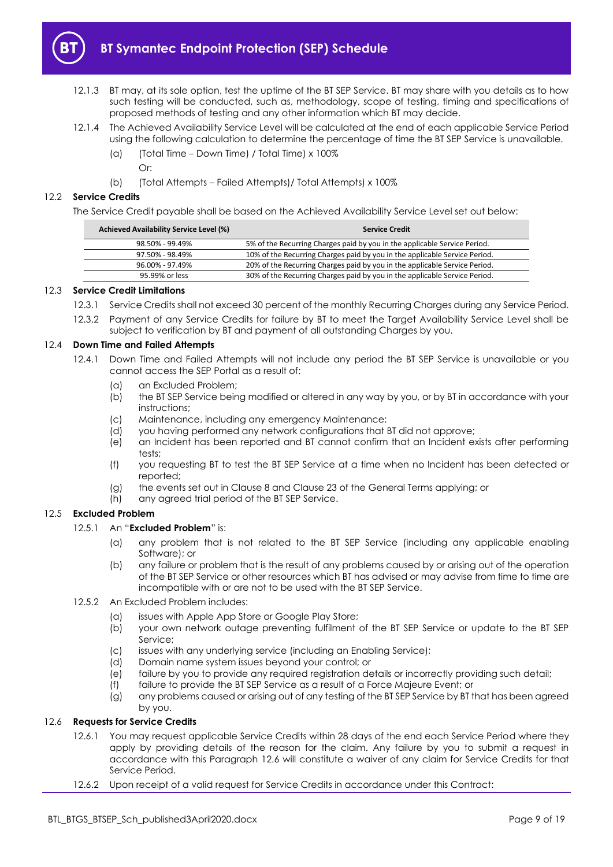

- 12.1.3 BT may, at its sole option, test the uptime of the BT SEP Service. BT may share with you details as to how such testing will be conducted, such as, methodology, scope of testing, timing and specifications of proposed methods of testing and any other information which BT may decide.
- <span id="page-8-4"></span>12.1.4 The Achieved Availability Service Level will be calculated at the end of each applicable Service Period using the following calculation to determine the percentage of time the BT SEP Service is unavailable.
	- (a) (Total Time Down Time) / Total Time) x 100% Or:
	- (b) (Total Attempts Failed Attempts)/ Total Attempts) x 100%

#### <span id="page-8-2"></span>12.2 **Service Credits**

The Service Credit payable shall be based on the Achieved Availability Service Level set out below:

| <b>Achieved Availability Service Level (%)</b> | <b>Service Credit</b>                                                      |
|------------------------------------------------|----------------------------------------------------------------------------|
| 98.50% - 99.49%                                | 5% of the Recurring Charges paid by you in the applicable Service Period.  |
| 97.50% - 98.49%                                | 10% of the Recurring Charges paid by you in the applicable Service Period. |
| 96.00% - 97.49%                                | 20% of the Recurring Charges paid by you in the applicable Service Period. |
| 95.99% or less                                 | 30% of the Recurring Charges paid by you in the applicable Service Period. |
|                                                |                                                                            |

#### <span id="page-8-0"></span>12.3 **Service Credit Limitations**

- 12.3.1 Service Credits shall not exceed 30 percent of the monthly Recurring Charges during any Service Period.
- 12.3.2 Payment of any Service Credits for failure by BT to meet the Target Availability Service Level shall be subject to verification by BT and payment of all outstanding Charges by you.

#### <span id="page-8-5"></span>12.4 **Down Time and Failed Attempts**

- 12.4.1 Down Time and Failed Attempts will not include any period the BT SEP Service is unavailable or you cannot access the SEP Portal as a result of:
	- (a) an Excluded Problem;
	- (b) the BT SEP Service being modified or altered in any way by you, or by BT in accordance with your instructions;
	- (c) Maintenance, including any emergency Maintenance;
	- (d) you having performed any network configurations that BT did not approve;
	- (e) an Incident has been reported and BT cannot confirm that an Incident exists after performing tests;
	- (f) you requesting BT to test the BT SEP Service at a time when no Incident has been detected or reported;
	- (g) the events set out in Clause 8 and Clause 23 of the General Terms applying; or
	- (h) any agreed trial period of the BT SEP Service.

#### 12.5 **Excluded Problem**

# 12.5.1 An "**Excluded Problem**" is:

- (a) any problem that is not related to the BT SEP Service (including any applicable enabling Software); or
- (b) any failure or problem that is the result of any problems caused by or arising out of the operation of the BT SEP Service or other resources which BT has advised or may advise from time to time are incompatible with or are not to be used with the BT SEP Service.
- 12.5.2 An Excluded Problem includes:
	- (a) issues with Apple App Store or Google Play Store;
	- (b) your own network outage preventing fulfilment of the BT SEP Service or update to the BT SEP Service;
	- (c) issues with any underlying service (including an Enabling Service);
	- (d) Domain name system issues beyond your control; or
	- (e) failure by you to provide any required registration details or incorrectly providing such detail;
	- (f) failure to provide the BT SEP Service as a result of a Force Majeure Event; or
	- (g) any problems caused or arising out of any testing of the BT SEP Service by BT that has been agreed by you.

#### <span id="page-8-3"></span><span id="page-8-1"></span>12.6 **Requests for Service Credits**

- 12.6.1 You may request applicable Service Credits within 28 days of the end each Service Period where they apply by providing details of the reason for the claim. Any failure by you to submit a request in accordance with this Paragraph [12.6](#page-8-3) will constitute a waiver of any claim for Service Credits for that Service Period.
- 12.6.2 Upon receipt of a valid request for Service Credits in accordance under this Contract: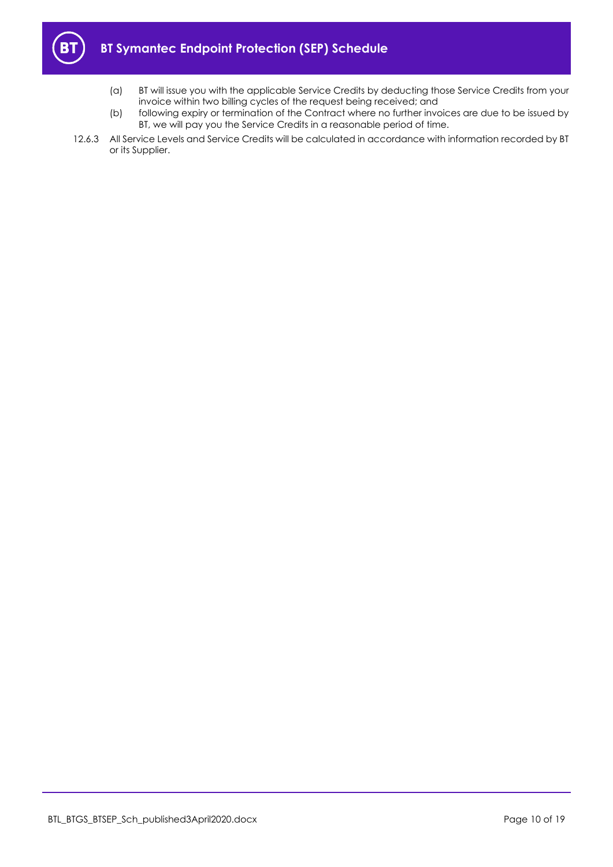

- (a) BT will issue you with the applicable Service Credits by deducting those Service Credits from your invoice within two billing cycles of the request being received; and
- (b) following expiry or termination of the Contract where no further invoices are due to be issued by BT, we will pay you the Service Credits in a reasonable period of time.
- 12.6.3 All Service Levels and Service Credits will be calculated in accordance with information recorded by BT or its Supplier.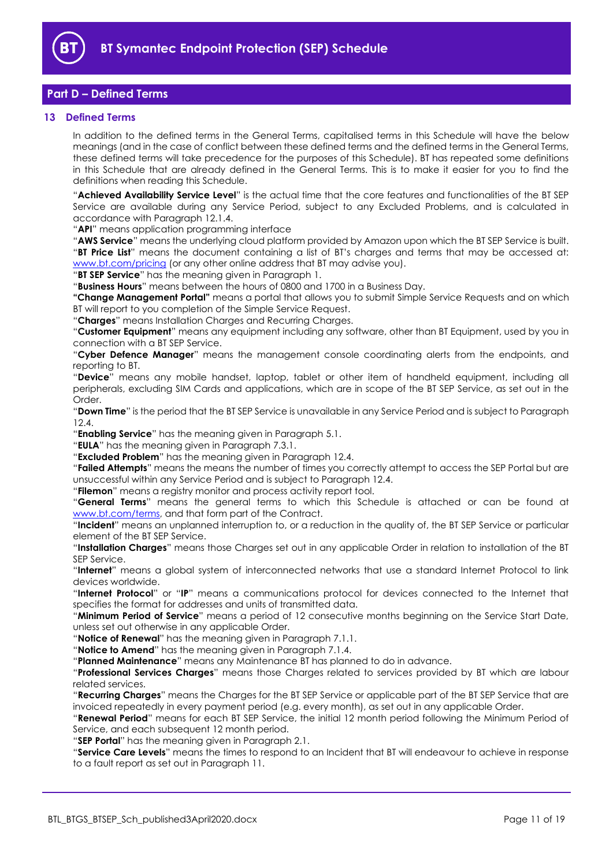

# <span id="page-10-0"></span>**Part D – Defined Terms**

## <span id="page-10-1"></span>**13 Defined Terms**

In addition to the defined terms in the General Terms, capitalised terms in this Schedule will have the below meanings (and in the case of conflict between these defined terms and the defined terms in the General Terms, these defined terms will take precedence for the purposes of this Schedule). BT has repeated some definitions in this Schedule that are already defined in the General Terms. This is to make it easier for you to find the definitions when reading this Schedule.

"**Achieved Availability Service Level**" is the actual time that the core features and functionalities of the BT SEP Service are available during any Service Period, subject to any Excluded Problems, and is calculated in accordance with Paragraph [12.1.4.](#page-8-4)

"**API**" means application programming interface

"**AWS Service**" means the underlying cloud platform provided by Amazon upon which the BT SEP Service is built. "**BT Price List**" means the document containing a list of BT's charges and terms that may be accessed at: [www.bt.com/pricing](http://www.bt.com/pricing) (or any other online address that BT may advise you).

"**BT SEP Service**" has the meaning given in Paragraph [1.](#page-1-3)

"**Business Hours**" means between the hours of 0800 and 1700 in a Business Day.

**"Change Management Portal"** means a portal that allows you to submit Simple Service Requests and on which BT will report to you completion of the Simple Service Request.

"**Charges**" means Installation Charges and Recurring Charges.

"**Customer Equipment**" means any equipment including any software, other than BT Equipment, used by you in connection with a BT SEP Service.

"**Cyber Defence Manager**" means the management console coordinating alerts from the endpoints, and reporting to BT.

"**Device**" means any mobile handset, laptop, tablet or other item of handheld equipment, including all peripherals, excluding SIM Cards and applications, which are in scope of the BT SEP Service, as set out in the Order.

"**Down Time**" is the period that the BT SEP Service is unavailable in any Service Period and is subject to Paragraph [12.4.](#page-8-5)

"**Enabling Service**" has the meaning given in Paragrap[h 5.1.](#page-2-6)

"**EULA**" has the meaning given in Paragraph [7.3.1.](#page-3-2)

"**Excluded Problem**" has the meaning given in Paragrap[h 12.4.](#page-8-5)

"**Failed Attempts**" means the means the number of times you correctly attempt to access the SEP Portal but are unsuccessful within any Service Period and is subject to Paragrap[h 12.4.](#page-8-5)

"**Filemon**" means a registry monitor and process activity report tool.

"**General Terms**" means the general terms to which this Schedule is attached or can be found at [www.bt.com/terms,](http://www.bt.com/terms) and that form part of the Contract.

"**Incident**" means an unplanned interruption to, or a reduction in the quality of, the BT SEP Service or particular element of the BT SEP Service.

"**Installation Charges**" means those Charges set out in any applicable Order in relation to installation of the BT SEP Service.

"**Internet**" means a global system of interconnected networks that use a standard Internet Protocol to link devices worldwide.

"**Internet Protocol**" or "**IP**" means a communications protocol for devices connected to the Internet that specifies the format for addresses and units of transmitted data.

"**Minimum Period of Service**" means a period of 12 consecutive months beginning on the Service Start Date, unless set out otherwise in any applicable Order.

"**Notice of Renewal**" has the meaning given in Paragraph [7.1.1.](#page-2-5)

"**Notice to Amend**" has the meaning given in Paragraph [7.1.4.](#page-3-3)

"**Planned Maintenance**" means any Maintenance BT has planned to do in advance.

"**Professional Services Charges**" means those Charges related to services provided by BT which are labour related services.

"**Recurring Charges**" means the Charges for the BT SEP Service or applicable part of the BT SEP Service that are invoiced repeatedly in every payment period (e.g. every month), as set out in any applicable Order.

"**Renewal Period**" means for each BT SEP Service, the initial 12 month period following the Minimum Period of Service, and each subsequent 12 month period.

"**SEP Portal**" has the meaning given in Paragrap[h 2.1.](#page-1-6)

"**Service Care Levels**" means the times to respond to an Incident that BT will endeavour to achieve in response to a fault report as set out in Paragrap[h 11.](#page-7-1)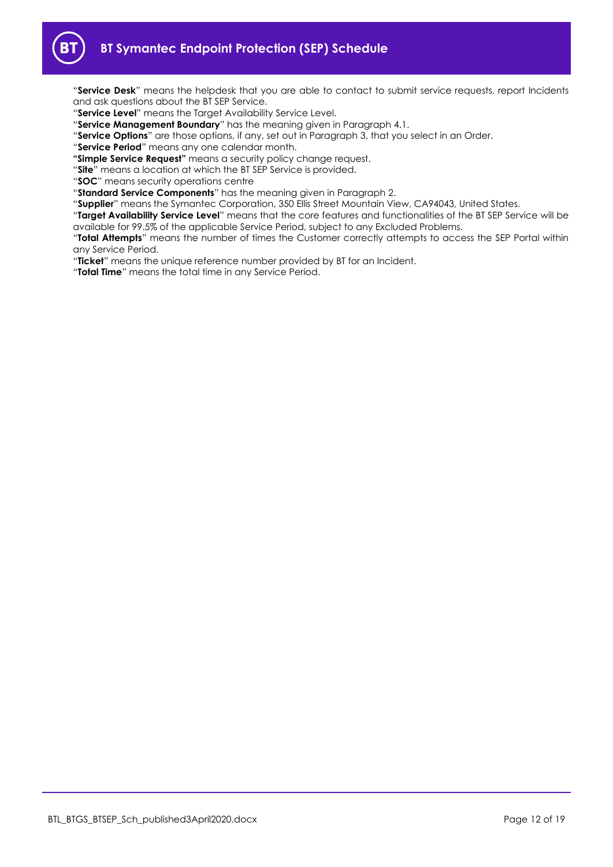

"**Service Desk**" means the helpdesk that you are able to contact to submit service requests, report Incidents and ask questions about the BT SEP Service.

- "**Service Level**" means the Target Availability Service Level.
- "**Service Management Boundary**" has the meaning given in Paragrap[h 4.1.](#page-2-7)
- "**Service Options**" are those options, if any, set out in Paragraph [3,](#page-2-0) that you select in an Order.
- "**Service Period**" means any one calendar month.
- **"Simple Service Request"** means a security policy change request.
- "**Site**" means a location at which the BT SEP Service is provided.
- "**SOC**" means security operations centre
- "**Standard Service Components**" has the meaning given in Paragraph [2.](#page-1-4)
- "**Supplier**" means the Symantec Corporation, 350 Ellis Street Mountain View, CA94043, United States.
- "**Target Availability Service Level**" means that the core features and functionalities of the BT SEP Service will be available for 99.5% of the applicable Service Period, subject to any Excluded Problems.
- "**Total Attempts**" means the number of times the Customer correctly attempts to access the SEP Portal within any Service Period.
- "**Ticket**" means the unique reference number provided by BT for an Incident.
- "**Total Time**" means the total time in any Service Period.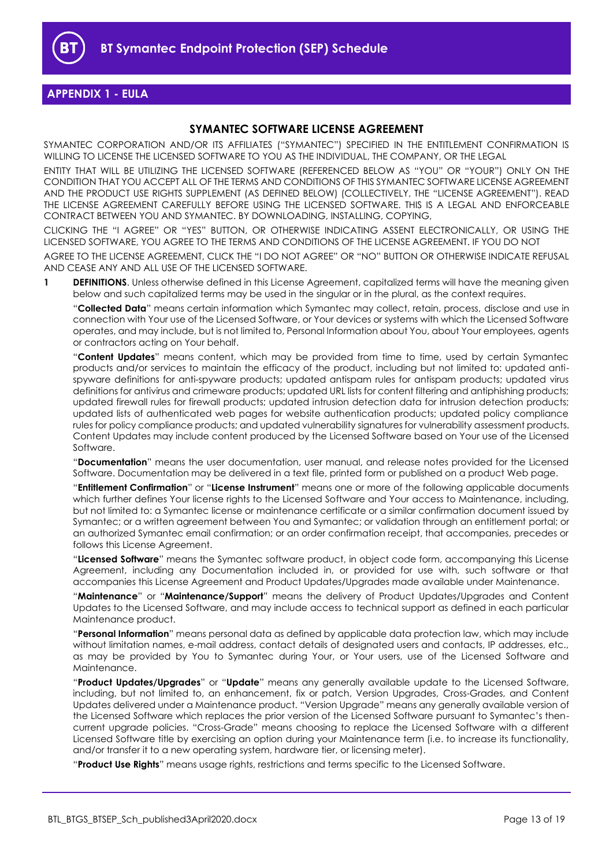

# <span id="page-12-0"></span>**APPENDIX 1 - EULA**

# **SYMANTEC SOFTWARE LICENSE AGREEMENT**

SYMANTEC CORPORATION AND/OR ITS AFFILIATES ("SYMANTEC") SPECIFIED IN THE ENTITLEMENT CONFIRMATION IS WILLING TO LICENSE THE LICENSED SOFTWARE TO YOU AS THE INDIVIDUAL, THE COMPANY, OR THE LEGAL

ENTITY THAT WILL BE UTILIZING THE LICENSED SOFTWARE (REFERENCED BELOW AS "YOU" OR "YOUR") ONLY ON THE CONDITION THAT YOU ACCEPT ALL OF THE TERMS AND CONDITIONS OF THIS SYMANTEC SOFTWARE LICENSE AGREEMENT AND THE PRODUCT USE RIGHTS SUPPLEMENT (AS DEFINED BELOW) (COLLECTIVELY, THE "LICENSE AGREEMENT"). READ THE LICENSE AGREEMENT CAREFULLY BEFORE USING THE LICENSED SOFTWARE. THIS IS A LEGAL AND ENFORCEABLE CONTRACT BETWEEN YOU AND SYMANTEC. BY DOWNLOADING, INSTALLING, COPYING,

CLICKING THE "I AGREE" OR "YES" BUTTON, OR OTHERWISE INDICATING ASSENT ELECTRONICALLY, OR USING THE LICENSED SOFTWARE, YOU AGREE TO THE TERMS AND CONDITIONS OF THE LICENSE AGREEMENT. IF YOU DO NOT

AGREE TO THE LICENSE AGREEMENT, CLICK THE "I DO NOT AGREE" OR "NO" BUTTON OR OTHERWISE INDICATE REFUSAL AND CEASE ANY AND ALL USE OF THE LICENSED SOFTWARE.

**1 DEFINITIONS**. Unless otherwise defined in this License Agreement, capitalized terms will have the meaning given below and such capitalized terms may be used in the singular or in the plural, as the context requires.

"**Collected Data**" means certain information which Symantec may collect, retain, process, disclose and use in connection with Your use of the Licensed Software, or Your devices or systems with which the Licensed Software operates, and may include, but is not limited to, Personal Information about You, about Your employees, agents or contractors acting on Your behalf.

"**Content Updates**" means content, which may be provided from time to time, used by certain Symantec products and/or services to maintain the efficacy of the product, including but not limited to: updated antispyware definitions for anti-spyware products; updated antispam rules for antispam products; updated virus definitions for antivirus and crimeware products; updated URL lists for content filtering and antiphishing products; updated firewall rules for firewall products; updated intrusion detection data for intrusion detection products; updated lists of authenticated web pages for website authentication products; updated policy compliance rules for policy compliance products; and updated vulnerability signatures for vulnerability assessment products. Content Updates may include content produced by the Licensed Software based on Your use of the Licensed Software.

"**Documentation**" means the user documentation, user manual, and release notes provided for the Licensed Software. Documentation may be delivered in a text file, printed form or published on a product Web page.

"**Entitlement Confirmation**" or "**License Instrument**" means one or more of the following applicable documents which further defines Your license rights to the Licensed Software and Your access to Maintenance, including, but not limited to: a Symantec license or maintenance certificate or a similar confirmation document issued by Symantec; or a written agreement between You and Symantec; or validation through an entitlement portal; or an authorized Symantec email confirmation; or an order confirmation receipt, that accompanies, precedes or follows this License Agreement.

"**Licensed Software**" means the Symantec software product, in object code form, accompanying this License Agreement, including any Documentation included in, or provided for use with, such software or that accompanies this License Agreement and Product Updates/Upgrades made available under Maintenance.

"**Maintenance**" or "**Maintenance/Support**" means the delivery of Product Updates/Upgrades and Content Updates to the Licensed Software, and may include access to technical support as defined in each particular Maintenance product.

"**Personal Information**" means personal data as defined by applicable data protection law, which may include without limitation names, e-mail address, contact details of designated users and contacts, IP addresses, etc., as may be provided by You to Symantec during Your, or Your users, use of the Licensed Software and Maintenance.

"**Product Updates/Upgrades**" or "**Update**" means any generally available update to the Licensed Software, including, but not limited to, an enhancement, fix or patch, Version Upgrades, Cross-Grades, and Content Updates delivered under a Maintenance product. "Version Upgrade" means any generally available version of the Licensed Software which replaces the prior version of the Licensed Software pursuant to Symantec's thencurrent upgrade policies. "Cross-Grade" means choosing to replace the Licensed Software with a different Licensed Software title by exercising an option during your Maintenance term (i.e. to increase its functionality, and/or transfer it to a new operating system, hardware tier, or licensing meter).

"**Product Use Rights**" means usage rights, restrictions and terms specific to the Licensed Software.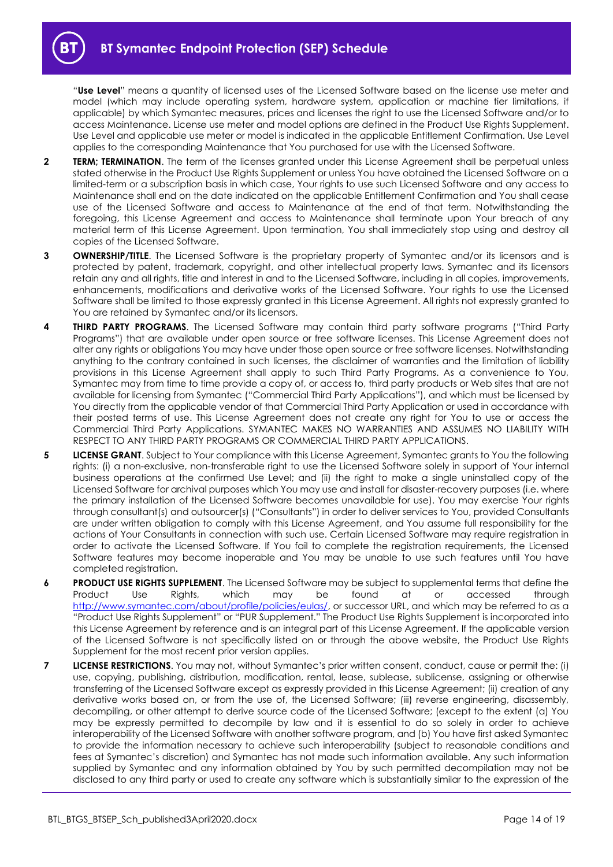"**Use Level**" means a quantity of licensed uses of the Licensed Software based on the license use meter and model (which may include operating system, hardware system, application or machine tier limitations, if applicable) by which Symantec measures, prices and licenses the right to use the Licensed Software and/or to access Maintenance. License use meter and model options are defined in the Product Use Rights Supplement. Use Level and applicable use meter or model is indicated in the applicable Entitlement Confirmation. Use Level applies to the corresponding Maintenance that You purchased for use with the Licensed Software.

- **2 TERM; TERMINATION**. The term of the licenses granted under this License Agreement shall be perpetual unless stated otherwise in the Product Use Rights Supplement or unless You have obtained the Licensed Software on a limited-term or a subscription basis in which case, Your rights to use such Licensed Software and any access to Maintenance shall end on the date indicated on the applicable Entitlement Confirmation and You shall cease use of the Licensed Software and access to Maintenance at the end of that term. Notwithstanding the foregoing, this License Agreement and access to Maintenance shall terminate upon Your breach of any material term of this License Agreement. Upon termination, You shall immediately stop using and destroy all copies of the Licensed Software.
- **3 OWNERSHIP/TITLE**. The Licensed Software is the proprietary property of Symantec and/or its licensors and is protected by patent, trademark, copyright, and other intellectual property laws. Symantec and its licensors retain any and all rights, title and interest in and to the Licensed Software, including in all copies, improvements, enhancements, modifications and derivative works of the Licensed Software. Your rights to use the Licensed Software shall be limited to those expressly granted in this License Agreement. All rights not expressly granted to You are retained by Symantec and/or its licensors.
- **4 THIRD PARTY PROGRAMS**. The Licensed Software may contain third party software programs ("Third Party Programs") that are available under open source or free software licenses. This License Agreement does not alter any rights or obligations You may have under those open source or free software licenses. Notwithstanding anything to the contrary contained in such licenses, the disclaimer of warranties and the limitation of liability provisions in this License Agreement shall apply to such Third Party Programs. As a convenience to You, Symantec may from time to time provide a copy of, or access to, third party products or Web sites that are not available for licensing from Symantec ("Commercial Third Party Applications"), and which must be licensed by You directly from the applicable vendor of that Commercial Third Party Application or used in accordance with their posted terms of use. This License Agreement does not create any right for You to use or access the Commercial Third Party Applications. SYMANTEC MAKES NO WARRANTIES AND ASSUMES NO LIABILITY WITH RESPECT TO ANY THIRD PARTY PROGRAMS OR COMMERCIAL THIRD PARTY APPLICATIONS.
- **5 LICENSE GRANT**. Subject to Your compliance with this License Agreement, Symantec grants to You the following rights: (i) a non-exclusive, non-transferable right to use the Licensed Software solely in support of Your internal business operations at the confirmed Use Level; and (ii) the right to make a single uninstalled copy of the Licensed Software for archival purposes which You may use and install for disaster-recovery purposes (i.e. where the primary installation of the Licensed Software becomes unavailable for use). You may exercise Your rights through consultant(s) and outsourcer(s) ("Consultants") in order to deliver services to You, provided Consultants are under written obligation to comply with this License Agreement, and You assume full responsibility for the actions of Your Consultants in connection with such use. Certain Licensed Software may require registration in order to activate the Licensed Software. If You fail to complete the registration requirements, the Licensed Software features may become inoperable and You may be unable to use such features until You have completed registration.
- **6 PRODUCT USE RIGHTS SUPPLEMENT**. The Licensed Software may be subject to supplemental terms that define the Product Use Rights, which may be found at or accessed through [http://www.symantec.com/about/profile/policies/eulas/,](http://www.symantec.com/about/profile/policies/eulas/) or successor URL, and which may be referred to as a "Product Use Rights Supplement" or "PUR Supplement." The Product Use Rights Supplement is incorporated into this License Agreement by reference and is an integral part of this License Agreement. If the applicable version of the Licensed Software is not specifically listed on or through the above website, the Product Use Rights Supplement for the most recent prior version applies.
- **7 LICENSE RESTRICTIONS**. You may not, without Symantec's prior written consent, conduct, cause or permit the: (i) use, copying, publishing, distribution, modification, rental, lease, sublease, sublicense, assigning or otherwise transferring of the Licensed Software except as expressly provided in this License Agreement; (ii) creation of any derivative works based on, or from the use of, the Licensed Software; (iii) reverse engineering, disassembly, decompiling, or other attempt to derive source code of the Licensed Software; (except to the extent (a) You may be expressly permitted to decompile by law and it is essential to do so solely in order to achieve interoperability of the Licensed Software with another software program, and (b) You have first asked Symantec to provide the information necessary to achieve such interoperability (subject to reasonable conditions and fees at Symantec's discretion) and Symantec has not made such information available. Any such information supplied by Symantec and any information obtained by You by such permitted decompilation may not be disclosed to any third party or used to create any software which is substantially similar to the expression of the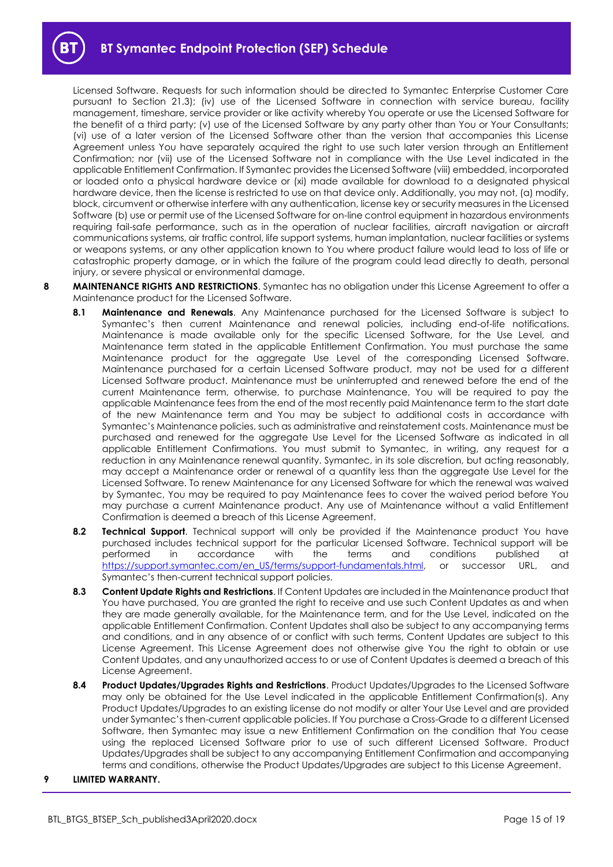Licensed Software. Requests for such information should be directed to Symantec Enterprise Customer Care pursuant to Section 21.3); (iv) use of the Licensed Software in connection with service bureau, facility management, timeshare, service provider or like activity whereby You operate or use the Licensed Software for the benefit of a third party; (v) use of the Licensed Software by any party other than You or Your Consultants; (vi) use of a later version of the Licensed Software other than the version that accompanies this License Agreement unless You have separately acquired the right to use such later version through an Entitlement Confirmation; nor (vii) use of the Licensed Software not in compliance with the Use Level indicated in the applicable Entitlement Confirmation. If Symantec provides the Licensed Software (viii) embedded, incorporated or loaded onto a physical hardware device or (xi) made available for download to a designated physical hardware device, then the license is restricted to use on that device only. Additionally, you may not, (a) modify, block, circumvent or otherwise interfere with any authentication, license key or security measures in the Licensed Software (b) use or permit use of the Licensed Software for on-line control equipment in hazardous environments requiring fail-safe performance, such as in the operation of nuclear facilities, aircraft navigation or aircraft communications systems, air traffic control, life support systems, human implantation, nuclear facilities or systems or weapons systems, or any other application known to You where product failure would lead to loss of life or catastrophic property damage, or in which the failure of the program could lead directly to death, personal injury, or severe physical or environmental damage.

- **8 MAINTENANCE RIGHTS AND RESTRICTIONS**. Symantec has no obligation under this License Agreement to offer a Maintenance product for the Licensed Software.
	- **8.1 Maintenance and Renewals**. Any Maintenance purchased for the Licensed Software is subject to Symantec's then current Maintenance and renewal policies, including end-of-life notifications. Maintenance is made available only for the specific Licensed Software, for the Use Level, and Maintenance term stated in the applicable Entitlement Confirmation. You must purchase the same Maintenance product for the aggregate Use Level of the corresponding Licensed Software. Maintenance purchased for a certain Licensed Software product, may not be used for a different Licensed Software product. Maintenance must be uninterrupted and renewed before the end of the current Maintenance term, otherwise, to purchase Maintenance, You will be required to pay the applicable Maintenance fees from the end of the most recently paid Maintenance term to the start date of the new Maintenance term and You may be subject to additional costs in accordance with Symantec's Maintenance policies, such as administrative and reinstatement costs. Maintenance must be purchased and renewed for the aggregate Use Level for the Licensed Software as indicated in all applicable Entitlement Confirmations. You must submit to Symantec, in writing, any request for a reduction in any Maintenance renewal quantity. Symantec, in its sole discretion, but acting reasonably, may accept a Maintenance order or renewal of a quantity less than the aggregate Use Level for the Licensed Software. To renew Maintenance for any Licensed Software for which the renewal was waived by Symantec, You may be required to pay Maintenance fees to cover the waived period before You may purchase a current Maintenance product. Any use of Maintenance without a valid Entitlement Confirmation is deemed a breach of this License Agreement.
	- **8.2 Technical Support**. Technical support will only be provided if the Maintenance product You have purchased includes technical support for the particular Licensed Software. Technical support will be performed in accordance with the terms and conditions published at [https://support.symantec.com/en\\_US/terms/support-fundamentals.html,](https://support.symantec.com/en_US/terms/support-fundamentals.html) or successor URL, and Symantec's then-current technical support policies.
	- **8.3 Content Update Rights and Restrictions**. If Content Updates are included in the Maintenance product that You have purchased, You are granted the right to receive and use such Content Updates as and when they are made generally available, for the Maintenance term, and for the Use Level, indicated on the applicable Entitlement Confirmation. Content Updates shall also be subject to any accompanying terms and conditions, and in any absence of or conflict with such terms, Content Updates are subject to this License Agreement. This License Agreement does not otherwise give You the right to obtain or use Content Updates, and any unauthorized access to or use of Content Updates is deemed a breach of this License Agreement.
	- **8.4 Product Updates/Upgrades Rights and Restrictions**. Product Updates/Upgrades to the Licensed Software may only be obtained for the Use Level indicated in the applicable Entitlement Confirmation(s). Any Product Updates/Upgrades to an existing license do not modify or alter Your Use Level and are provided under Symantec's then-current applicable policies. If You purchase a Cross-Grade to a different Licensed Software, then Symantec may issue a new Entitlement Confirmation on the condition that You cease using the replaced Licensed Software prior to use of such different Licensed Software. Product Updates/Upgrades shall be subject to any accompanying Entitlement Confirmation and accompanying terms and conditions, otherwise the Product Updates/Upgrades are subject to this License Agreement.

#### **9 LIMITED WARRANTY.**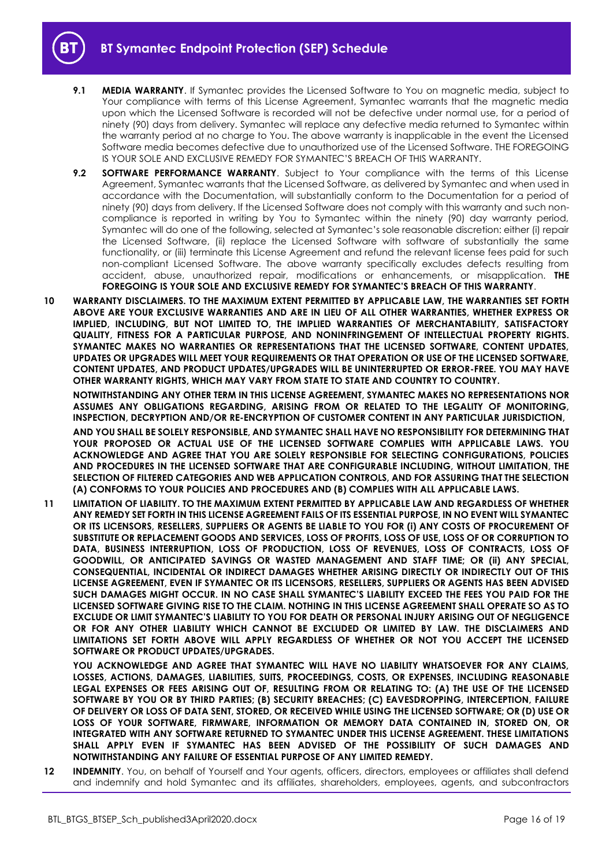- **9.1 MEDIA WARRANTY**. If Symantec provides the Licensed Software to You on magnetic media, subject to Your compliance with terms of this License Agreement, Symantec warrants that the magnetic media upon which the Licensed Software is recorded will not be defective under normal use, for a period of ninety (90) days from delivery. Symantec will replace any defective media returned to Symantec within the warranty period at no charge to You. The above warranty is inapplicable in the event the Licensed Software media becomes defective due to unauthorized use of the Licensed Software. THE FOREGOING IS YOUR SOLE AND EXCLUSIVE REMEDY FOR SYMANTEC'S BREACH OF THIS WARRANTY.
- **9.2 SOFTWARE PERFORMANCE WARRANTY**. Subject to Your compliance with the terms of this License Agreement, Symantec warrants that the Licensed Software, as delivered by Symantec and when used in accordance with the Documentation, will substantially conform to the Documentation for a period of ninety (90) days from delivery. If the Licensed Software does not comply with this warranty and such noncompliance is reported in writing by You to Symantec within the ninety (90) day warranty period, Symantec will do one of the following, selected at Symantec's sole reasonable discretion: either (i) repair the Licensed Software, (ii) replace the Licensed Software with software of substantially the same functionality, or (iii) terminate this License Agreement and refund the relevant license fees paid for such non-compliant Licensed Software. The above warranty specifically excludes defects resulting from accident, abuse, unauthorized repair, modifications or enhancements, or misapplication. **THE FOREGOING IS YOUR SOLE AND EXCLUSIVE REMEDY FOR SYMANTEC'S BREACH OF THIS WARRANTY**.
- **10 WARRANTY DISCLAIMERS. TO THE MAXIMUM EXTENT PERMITTED BY APPLICABLE LAW, THE WARRANTIES SET FORTH ABOVE ARE YOUR EXCLUSIVE WARRANTIES AND ARE IN LIEU OF ALL OTHER WARRANTIES, WHETHER EXPRESS OR IMPLIED, INCLUDING, BUT NOT LIMITED TO, THE IMPLIED WARRANTIES OF MERCHANTABILITY, SATISFACTORY QUALITY, FITNESS FOR A PARTICULAR PURPOSE, AND NONINFRINGEMENT OF INTELLECTUAL PROPERTY RIGHTS. SYMANTEC MAKES NO WARRANTIES OR REPRESENTATIONS THAT THE LICENSED SOFTWARE, CONTENT UPDATES, UPDATES OR UPGRADES WILL MEET YOUR REQUIREMENTS OR THAT OPERATION OR USE OF THE LICENSED SOFTWARE, CONTENT UPDATES, AND PRODUCT UPDATES/UPGRADES WILL BE UNINTERRUPTED OR ERROR-FREE. YOU MAY HAVE OTHER WARRANTY RIGHTS, WHICH MAY VARY FROM STATE TO STATE AND COUNTRY TO COUNTRY.**

**NOTWITHSTANDING ANY OTHER TERM IN THIS LICENSE AGREEMENT, SYMANTEC MAKES NO REPRESENTATIONS NOR ASSUMES ANY OBLIGATIONS REGARDING, ARISING FROM OR RELATED TO THE LEGALITY OF MONITORING, INSPECTION, DECRYPTION AND/OR RE-ENCRYPTION OF CUSTOMER CONTENT IN ANY PARTICULAR JURISDICTION,** 

**AND YOU SHALL BE SOLELY RESPONSIBLE, AND SYMANTEC SHALL HAVE NO RESPONSIBILITY FOR DETERMINING THAT YOUR PROPOSED OR ACTUAL USE OF THE LICENSED SOFTWARE COMPLIES WITH APPLICABLE LAWS. YOU ACKNOWLEDGE AND AGREE THAT YOU ARE SOLELY RESPONSIBLE FOR SELECTING CONFIGURATIONS, POLICIES AND PROCEDURES IN THE LICENSED SOFTWARE THAT ARE CONFIGURABLE INCLUDING, WITHOUT LIMITATION, THE SELECTION OF FILTERED CATEGORIES AND WEB APPLICATION CONTROLS, AND FOR ASSURING THAT THE SELECTION (A) CONFORMS TO YOUR POLICIES AND PROCEDURES AND (B) COMPLIES WITH ALL APPLICABLE LAWS.** 

**11 LIMITATION OF LIABILITY. TO THE MAXIMUM EXTENT PERMITTED BY APPLICABLE LAW AND REGARDLESS OF WHETHER ANY REMEDY SET FORTH IN THIS LICENSE AGREEMENT FAILS OF ITS ESSENTIAL PURPOSE, IN NO EVENT WILL SYMANTEC OR ITS LICENSORS, RESELLERS, SUPPLIERS OR AGENTS BE LIABLE TO YOU FOR (i) ANY COSTS OF PROCUREMENT OF SUBSTITUTE OR REPLACEMENT GOODS AND SERVICES, LOSS OF PROFITS, LOSS OF USE, LOSS OF OR CORRUPTION TO DATA, BUSINESS INTERRUPTION, LOSS OF PRODUCTION, LOSS OF REVENUES, LOSS OF CONTRACTS, LOSS OF GOODWILL, OR ANTICIPATED SAVINGS OR WASTED MANAGEMENT AND STAFF TIME; OR (ii) ANY SPECIAL, CONSEQUENTIAL, INCIDENTAL OR INDIRECT DAMAGES WHETHER ARISING DIRECTLY OR INDIRECTLY OUT OF THIS LICENSE AGREEMENT, EVEN IF SYMANTEC OR ITS LICENSORS, RESELLERS, SUPPLIERS OR AGENTS HAS BEEN ADVISED SUCH DAMAGES MIGHT OCCUR. IN NO CASE SHALL SYMANTEC'S LIABILITY EXCEED THE FEES YOU PAID FOR THE LICENSED SOFTWARE GIVING RISE TO THE CLAIM. NOTHING IN THIS LICENSE AGREEMENT SHALL OPERATE SO AS TO EXCLUDE OR LIMIT SYMANTEC'S LIABILITY TO YOU FOR DEATH OR PERSONAL INJURY ARISING OUT OF NEGLIGENCE OR FOR ANY OTHER LIABILITY WHICH CANNOT BE EXCLUDED OR LIMITED BY LAW. THE DISCLAIMERS AND LIMITATIONS SET FORTH ABOVE WILL APPLY REGARDLESS OF WHETHER OR NOT YOU ACCEPT THE LICENSED SOFTWARE OR PRODUCT UPDATES/UPGRADES.** 

**YOU ACKNOWLEDGE AND AGREE THAT SYMANTEC WILL HAVE NO LIABILITY WHATSOEVER FOR ANY CLAIMS, LOSSES, ACTIONS, DAMAGES, LIABILITIES, SUITS, PROCEEDINGS, COSTS, OR EXPENSES, INCLUDING REASONABLE LEGAL EXPENSES OR FEES ARISING OUT OF, RESULTING FROM OR RELATING TO: (A) THE USE OF THE LICENSED SOFTWARE BY YOU OR BY THIRD PARTIES; (B) SECURITY BREACHES; (C) EAVESDROPPING, INTERCEPTION, FAILURE OF DELIVERY OR LOSS OF DATA SENT, STORED, OR RECEIVED WHILE USING THE LICENSED SOFTWARE; OR (D) USE OR LOSS OF YOUR SOFTWARE, FIRMWARE, INFORMATION OR MEMORY DATA CONTAINED IN, STORED ON, OR INTEGRATED WITH ANY SOFTWARE RETURNED TO SYMANTEC UNDER THIS LICENSE AGREEMENT. THESE LIMITATIONS SHALL APPLY EVEN IF SYMANTEC HAS BEEN ADVISED OF THE POSSIBILITY OF SUCH DAMAGES AND NOTWITHSTANDING ANY FAILURE OF ESSENTIAL PURPOSE OF ANY LIMITED REMEDY.**

**12 INDEMNITY**. You, on behalf of Yourself and Your agents, officers, directors, employees or affiliates shall defend and indemnify and hold Symantec and its affiliates, shareholders, employees, agents, and subcontractors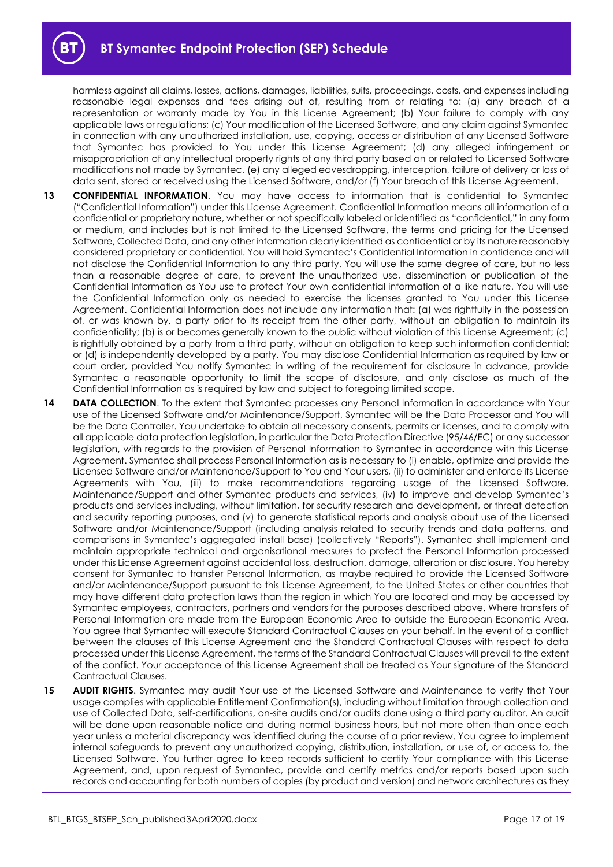harmless against all claims, losses, actions, damages, liabilities, suits, proceedings, costs, and expenses including reasonable legal expenses and fees arising out of, resulting from or relating to: (a) any breach of a representation or warranty made by You in this License Agreement; (b) Your failure to comply with any applicable laws or regulations; (c) Your modification of the Licensed Software, and any claim against Symantec in connection with any unauthorized installation, use, copying, access or distribution of any Licensed Software that Symantec has provided to You under this License Agreement; (d) any alleged infringement or misappropriation of any intellectual property rights of any third party based on or related to Licensed Software modifications not made by Symantec, (e) any alleged eavesdropping, interception, failure of delivery or loss of data sent, stored or received using the Licensed Software, and/or (f) Your breach of this License Agreement.

- 13 **CONFIDENTIAL INFORMATION**. You may have access to information that is confidential to Symantec ("Confidential Information") under this License Agreement. Confidential Information means all information of a confidential or proprietary nature, whether or not specifically labeled or identified as "confidential," in any form or medium, and includes but is not limited to the Licensed Software, the terms and pricing for the Licensed Software, Collected Data, and any other information clearly identified as confidential or by its nature reasonably considered proprietary or confidential. You will hold Symantec's Confidential Information in confidence and will not disclose the Confidential Information to any third party. You will use the same degree of care, but no less than a reasonable degree of care, to prevent the unauthorized use, dissemination or publication of the Confidential Information as You use to protect Your own confidential information of a like nature. You will use the Confidential Information only as needed to exercise the licenses granted to You under this License Agreement. Confidential Information does not include any information that: (a) was rightfully in the possession of, or was known by, a party prior to its receipt from the other party, without an obligation to maintain its confidentiality; (b) is or becomes generally known to the public without violation of this License Agreement; (c) is rightfully obtained by a party from a third party, without an obligation to keep such information confidential; or (d) is independently developed by a party. You may disclose Confidential Information as required by law or court order, provided You notify Symantec in writing of the requirement for disclosure in advance, provide Symantec a reasonable opportunity to limit the scope of disclosure, and only disclose as much of the Confidential Information as is required by law and subject to foregoing limited scope.
- **14 DATA COLLECTION**. To the extent that Symantec processes any Personal Information in accordance with Your use of the Licensed Software and/or Maintenance/Support, Symantec will be the Data Processor and You will be the Data Controller. You undertake to obtain all necessary consents, permits or licenses, and to comply with all applicable data protection legislation, in particular the Data Protection Directive (95/46/EC) or any successor legislation, with regards to the provision of Personal Information to Symantec in accordance with this License Agreement. Symantec shall process Personal Information as is necessary to (i) enable, optimize and provide the Licensed Software and/or Maintenance/Support to You and Your users, (ii) to administer and enforce its License Agreements with You, (iii) to make recommendations regarding usage of the Licensed Software, Maintenance/Support and other Symantec products and services, (iv) to improve and develop Symantec's products and services including, without limitation, for security research and development, or threat detection and security reporting purposes, and (v) to generate statistical reports and analysis about use of the Licensed Software and/or Maintenance/Support (including analysis related to security trends and data patterns, and comparisons in Symantec's aggregated install base) (collectively "Reports"). Symantec shall implement and maintain appropriate technical and organisational measures to protect the Personal Information processed under this License Agreement against accidental loss, destruction, damage, alteration or disclosure. You hereby consent for Symantec to transfer Personal Information, as maybe required to provide the Licensed Software and/or Maintenance/Support pursuant to this License Agreement, to the United States or other countries that may have different data protection laws than the region in which You are located and may be accessed by Symantec employees, contractors, partners and vendors for the purposes described above. Where transfers of Personal Information are made from the European Economic Area to outside the European Economic Area, You agree that Symantec will execute Standard Contractual Clauses on your behalf. In the event of a conflict between the clauses of this License Agreement and the Standard Contractual Clauses with respect to data processed under this License Agreement, the terms of the Standard Contractual Clauses will prevail to the extent of the conflict. Your acceptance of this License Agreement shall be treated as Your signature of the Standard Contractual Clauses.
- **15 AUDIT RIGHTS**. Symantec may audit Your use of the Licensed Software and Maintenance to verify that Your usage complies with applicable Entitlement Confirmation(s), including without limitation through collection and use of Collected Data, self-certifications, on-site audits and/or audits done using a third party auditor. An audit will be done upon reasonable notice and during normal business hours, but not more often than once each year unless a material discrepancy was identified during the course of a prior review. You agree to implement internal safeguards to prevent any unauthorized copying, distribution, installation, or use of, or access to, the Licensed Software. You further agree to keep records sufficient to certify Your compliance with this License Agreement, and, upon request of Symantec, provide and certify metrics and/or reports based upon such records and accounting for both numbers of copies (by product and version) and network architectures as they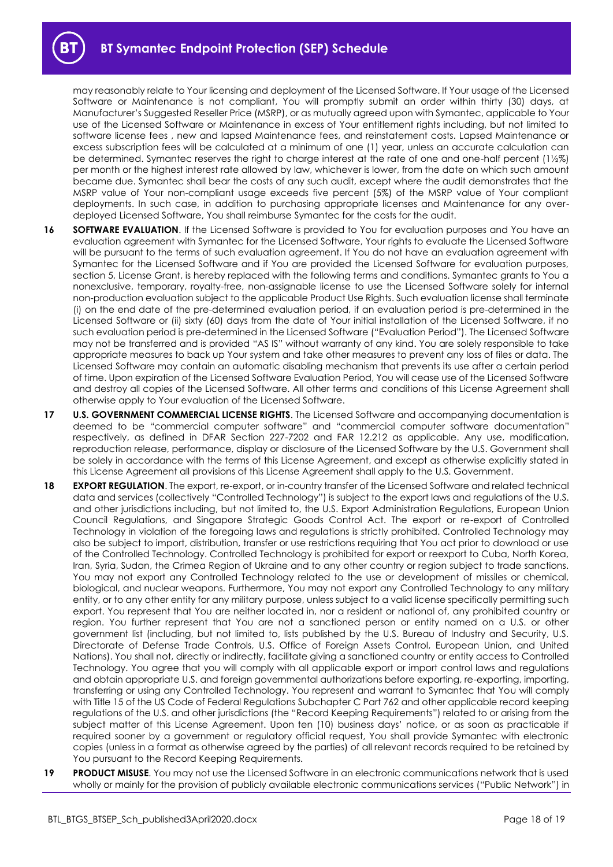may reasonably relate to Your licensing and deployment of the Licensed Software. If Your usage of the Licensed Software or Maintenance is not compliant, You will promptly submit an order within thirty (30) days, at Manufacturer's Suggested Reseller Price (MSRP), or as mutually agreed upon with Symantec, applicable to Your use of the Licensed Software or Maintenance in excess of Your entitlement rights including, but not limited to software license fees , new and lapsed Maintenance fees, and reinstatement costs. Lapsed Maintenance or excess subscription fees will be calculated at a minimum of one (1) year, unless an accurate calculation can be determined. Symantec reserves the right to charge interest at the rate of one and one-half percent (1½%) per month or the highest interest rate allowed by law, whichever is lower, from the date on which such amount became due. Symantec shall bear the costs of any such audit, except where the audit demonstrates that the MSRP value of Your non-compliant usage exceeds five percent (5%) of the MSRP value of Your compliant deployments. In such case, in addition to purchasing appropriate licenses and Maintenance for any overdeployed Licensed Software, You shall reimburse Symantec for the costs for the audit.

- **16 SOFTWARE EVALUATION**. If the Licensed Software is provided to You for evaluation purposes and You have an evaluation agreement with Symantec for the Licensed Software, Your rights to evaluate the Licensed Software will be pursuant to the terms of such evaluation agreement. If You do not have an evaluation agreement with Symantec for the Licensed Software and if You are provided the Licensed Software for evaluation purposes, section 5, License Grant, is hereby replaced with the following terms and conditions. Symantec grants to You a nonexclusive, temporary, royalty-free, non-assignable license to use the Licensed Software solely for internal non-production evaluation subject to the applicable Product Use Rights. Such evaluation license shall terminate (i) on the end date of the pre-determined evaluation period, if an evaluation period is pre-determined in the Licensed Software or (ii) sixty (60) days from the date of Your initial installation of the Licensed Software, if no such evaluation period is pre-determined in the Licensed Software ("Evaluation Period"). The Licensed Software may not be transferred and is provided "AS IS" without warranty of any kind. You are solely responsible to take appropriate measures to back up Your system and take other measures to prevent any loss of files or data. The Licensed Software may contain an automatic disabling mechanism that prevents its use after a certain period of time. Upon expiration of the Licensed Software Evaluation Period, You will cease use of the Licensed Software and destroy all copies of the Licensed Software. All other terms and conditions of this License Agreement shall otherwise apply to Your evaluation of the Licensed Software.
- **17 U.S. GOVERNMENT COMMERCIAL LICENSE RIGHTS**. The Licensed Software and accompanying documentation is deemed to be "commercial computer software" and "commercial computer software documentation" respectively, as defined in DFAR Section 227-7202 and FAR 12.212 as applicable. Any use, modification, reproduction release, performance, display or disclosure of the Licensed Software by the U.S. Government shall be solely in accordance with the terms of this License Agreement, and except as otherwise explicitly stated in this License Agreement all provisions of this License Agreement shall apply to the U.S. Government.
- **18 EXPORT REGULATION**. The export, re-export, or in-country transfer of the Licensed Software and related technical data and services (collectively "Controlled Technology") is subject to the export laws and regulations of the U.S. and other jurisdictions including, but not limited to, the U.S. Export Administration Regulations, European Union Council Regulations, and Singapore Strategic Goods Control Act. The export or re-export of Controlled Technology in violation of the foregoing laws and regulations is strictly prohibited. Controlled Technology may also be subject to import, distribution, transfer or use restrictions requiring that You act prior to download or use of the Controlled Technology. Controlled Technology is prohibited for export or reexport to Cuba, North Korea, Iran, Syria, Sudan, the Crimea Region of Ukraine and to any other country or region subject to trade sanctions. You may not export any Controlled Technology related to the use or development of missiles or chemical, biological, and nuclear weapons. Furthermore, You may not export any Controlled Technology to any military entity, or to any other entity for any military purpose, unless subject to a valid license specifically permitting such export. You represent that You are neither located in, nor a resident or national of, any prohibited country or region. You further represent that You are not a sanctioned person or entity named on a U.S. or other government list (including, but not limited to, lists published by the U.S. Bureau of Industry and Security, U.S. Directorate of Defense Trade Controls, U.S. Office of Foreign Assets Control, European Union, and United Nations). You shall not, directly or indirectly, facilitate giving a sanctioned country or entity access to Controlled Technology. You agree that you will comply with all applicable export or import control laws and regulations and obtain appropriate U.S. and foreign governmental authorizations before exporting, re-exporting, importing, transferring or using any Controlled Technology. You represent and warrant to Symantec that You will comply with Title 15 of the US Code of Federal Regulations Subchapter C Part 762 and other applicable record keeping regulations of the U.S. and other jurisdictions (the "Record Keeping Requirements") related to or arising from the subject matter of this License Agreement. Upon ten (10) business days' notice, or as soon as practicable if required sooner by a government or regulatory official request, You shall provide Symantec with electronic copies (unless in a format as otherwise agreed by the parties) of all relevant records required to be retained by You pursuant to the Record Keeping Requirements.
- **19 PRODUCT MISUSE**. You may not use the Licensed Software in an electronic communications network that is used wholly or mainly for the provision of publicly available electronic communications services ("Public Network") in